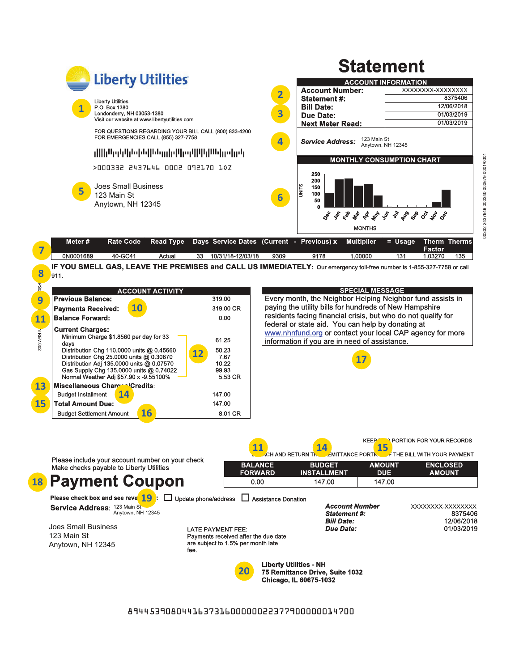